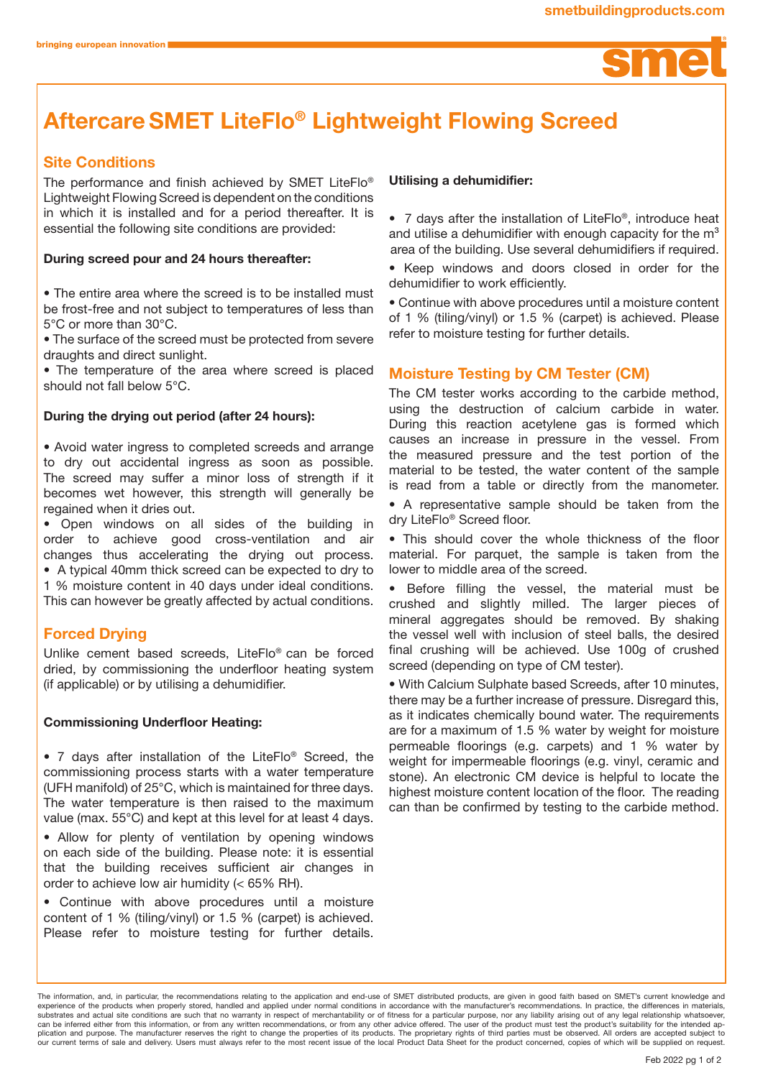

# AftercareSMET LiteFlo® Lightweight Flowing Screed

## Site Conditions

The performance and finish achieved by SMET LiteFlo® Lightweight Flowing Screed is dependent on the conditions in which it is installed and for a period thereafter. It is essential the following site conditions are provided:

#### During screed pour and 24 hours thereafter:

• The entire area where the screed is to be installed must be frost-free and not subject to temperatures of less than 5°C or more than 30°C.

• The surface of the screed must be protected from severe draughts and direct sunlight.

• The temperature of the area where screed is placed should not fall below 5°C.

#### During the drying out period (after 24 hours):

• Avoid water ingress to completed screeds and arrange to dry out accidental ingress as soon as possible. The screed may suffer a minor loss of strength if it becomes wet however, this strength will generally be regained when it dries out.

• Open windows on all sides of the building in order to achieve good cross-ventilation and air changes thus accelerating the drying out process. • A typical 40mm thick screed can be expected to dry to 1 % moisture content in 40 days under ideal conditions. This can however be greatly affected by actual conditions.

#### Forced Drying

Unlike cement based screeds, LiteFlo® can be forced dried, by commissioning the underfloor heating system (if applicable) or by utilising a dehumidifier.

#### Commissioning Underfloor Heating:

• 7 days after installation of the LiteFlo® Screed, the commissioning process starts with a water temperature (UFH manifold) of 25°C, which is maintained for three days. The water temperature is then raised to the maximum value (max. 55°C) and kept at this level for at least 4 days.

• Allow for plenty of ventilation by opening windows on each side of the building. Please note: it is essential that the building receives sufficient air changes in order to achieve low air humidity (< 65% RH).

• Continue with above procedures until a moisture content of 1 % (tiling/vinyl) or 1.5 % (carpet) is achieved. Please refer to moisture testing for further details.

#### Utilising a dehumidifier:

• 7 days after the installation of LiteFlo®, introduce heat and utilise a dehumidifier with enough capacity for the  $m<sup>3</sup>$ area of the building. Use several dehumidifiers if required.

• Keep windows and doors closed in order for the dehumidifier to work efficiently.

• Continue with above procedures until a moisture content of 1 % (tiling/vinyl) or 1.5 % (carpet) is achieved. Please refer to moisture testing for further details.

## Moisture Testing by CM Tester (CM)

The CM tester works according to the carbide method, using the destruction of calcium carbide in water. During this reaction acetylene gas is formed which causes an increase in pressure in the vessel. From the measured pressure and the test portion of the material to be tested, the water content of the sample is read from a table or directly from the manometer.

• A representative sample should be taken from the dry LiteFlo® Screed floor.

• This should cover the whole thickness of the floor material. For parquet, the sample is taken from the lower to middle area of the screed.

• Before filling the vessel, the material must be crushed and slightly milled. The larger pieces of mineral aggregates should be removed. By shaking the vessel well with inclusion of steel balls, the desired final crushing will be achieved. Use 100g of crushed screed (depending on type of CM tester).

• With Calcium Sulphate based Screeds, after 10 minutes, there may be a further increase of pressure. Disregard this, as it indicates chemically bound water. The requirements are for a maximum of 1.5 % water by weight for moisture permeable floorings (e.g. carpets) and 1 % water by weight for impermeable floorings (e.g. vinyl, ceramic and stone). An electronic CM device is helpful to locate the highest moisture content location of the floor. The reading can than be confirmed by testing to the carbide method.

The information, and, in particular, the recommendations relating to the application and end-use of SMET distributed products, are given in good faith based on SMET's current knowledge and experience of the products when properly stored, handled and applied under normal conditions in accordance with the manufacturer's recommendations. In practice, the differences in materials, substrates and actual site conditions are such that no warranty in respect of merchantability or of fitness for a particular purpose, nor any liability arising out of any legal relationship whatsoever, can be inferred either from this information, or from any written recommendations, or from any other advice offered. The user of the product must test the product's suitability for the intended ap-<br>plication and purpose. T our current terms of sale and delivery. Users must always refer to the most recent issue of the local Product Data Sheet for the product concerned, copies of which will be supplied on request.